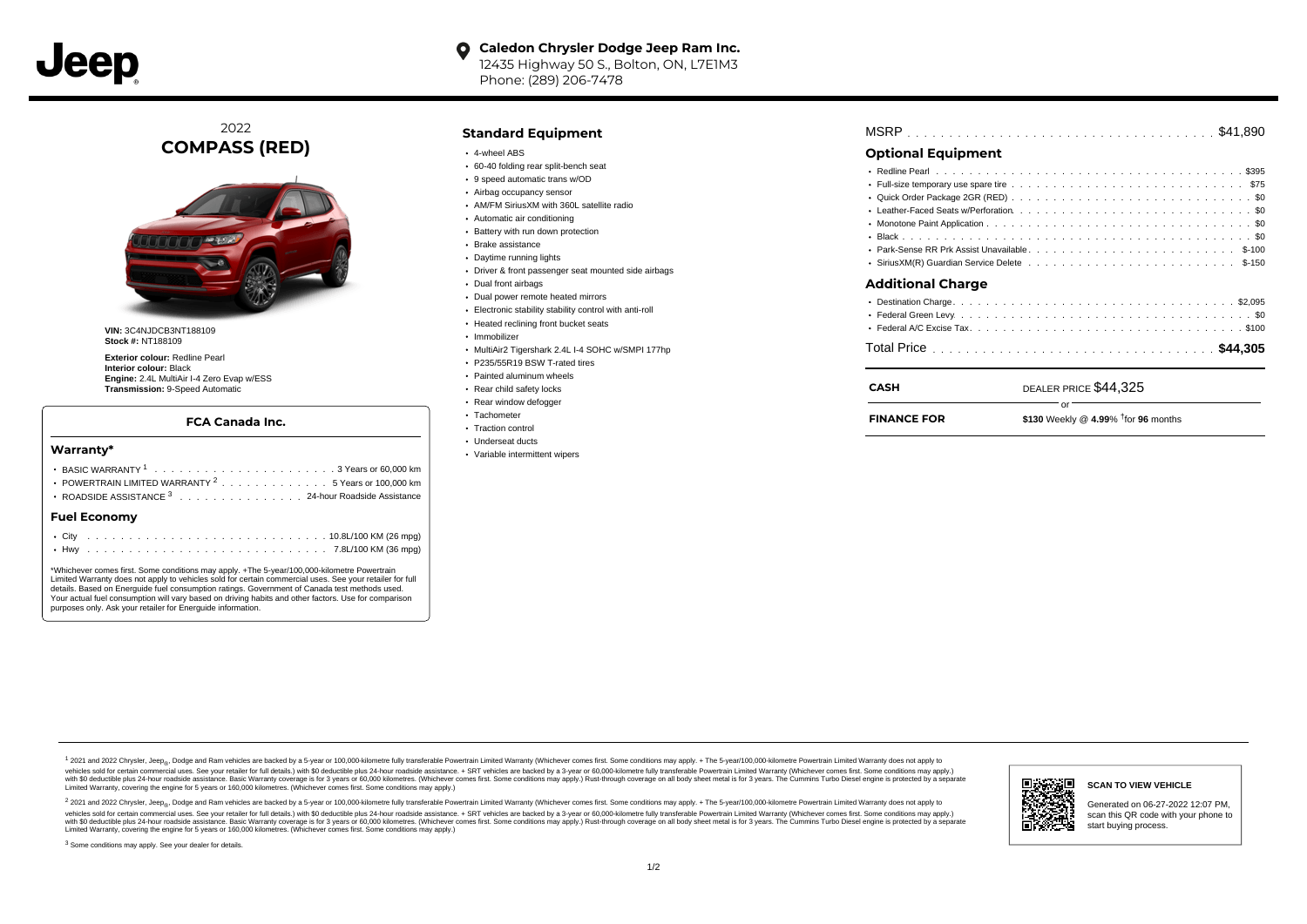

#### **Caledon Chrysler Dodge Jeep Ram Inc.**  $\bullet$ 12435 Highway 50 S., Bolton, ON, L7E1M3 Phone: (289) 206-7478

2022 **COMPASS (RED)**



**VIN:** 3C4NJDCB3NT188109 **Stock #:** NT188109

**Exterior colour:** Redline Pearl **Interior colour:** Black **Engine:** 2.4L MultiAir I-4 Zero Evap w/ESS **Transmission:** 9-Speed Automatic

### **FCA Canada Inc.**

#### **Warranty\***

| POWERTRAIN LIMITED WARRANTY <sup>2</sup> 5 Years or 100,000 km |
|----------------------------------------------------------------|
| ROADSIDE ASSISTANCE 3 24-hour Roadside Assistance              |
| <b>Fuel Economy</b>                                            |
|                                                                |

\*Whichever comes first. Some conditions may apply. +The 5-year/100,000-kilometre Powertrain Limited Warranty does not apply to vehicles sold for certain commercial uses. See your retailer for full details. Based on Energuide fuel consumption ratings. Government of Canada test methods used. Your actual fuel consumption will vary based on driving habits and other factors. Use for comparison purposes only. Ask your retailer for Energuide information.

. . . . . . . . . . . . . . . . . . . . . . . . . . . . . . . . . . . . . . . . . . . Hwy 7.8L/100 KM (36 mpg)

### **Standard Equipment**

- 4-wheel ABS
- 60-40 folding rear split-bench seat
- 9 speed automatic trans w/OD
- Airbag occupancy sensor
- AM/FM SiriusXM with 360L satellite radio
- Automatic air conditioning
- Battery with run down protection
- Brake assistance
- Daytime running lights
- Driver & front passenger seat mounted side airbags
- Dual front airbags
- Dual power remote heated mirrors
- Electronic stability stability control with anti-roll
- Heated reclining front bucket seats
- · Immobilizer
- MultiAir2 Tigershark 2.4L I-4 SOHC w/SMPI 177hp
- P235/55R19 BSW T-rated tires
- Painted aluminum wheels
- Rear child safety locks
- Rear window defogger
- Tachometer
- Traction control Underseat ducts
- Variable intermittent wipers
- 

|--|--|--|--|--|--|--|--|--|--|--|--|--|--|--|--|--|--|--|--|--|--|--|--|--|--|--|--|--|--|--|--|--|--|--|--|--|--|--|--|--|--|--|

## **Optional Equipment**

| Additional Charge |  |
|-------------------|--|
|                   |  |
|                   |  |
|                   |  |

# . . . . . . . . . . . . . . . . . . . . . . . . . . . . . . . . . . . . . . . . . . . . . . Total Price **\$44,305**

or

# DEALER PRICE \$44,325

**FINANCE FOR**

**CASH**

```
$130 Weekly @ 4.99% for months † 96
```
1 2021 and 2022 Chrysler, Jeep<sub>en</sub> Dodge and Ram vehicles are backed by a 5-year or 100,000-kilometre fully transferable Powertrain Limited Warranty (Whichever comes first. Some conditions may apply. + The 5-year/100,000-k vehicles sold for certain commercial uses. See your retailer for full details.) with \$0 deductible plus 24-hour roadside assistance. + SRT vehicles are backed by a 3-year or 60,000-kilometre fully transferable Powertrain L versus and contract the mean of the contract of the contract with a contract with a contract the contract of the search of the contract and a control of the contract and contract and control of the search of the search of Limited Warranty, covering the engine for 5 years or 160,000 kilometres. (Whichever comes first. Some conditions may apply.)

<sup>2</sup> 2021 and 2022 Chrysler, Jeep<sub>®</sub>, Dodge and Ram vehicles are backed by a 5-year or 100,000-kilometre fully transferable Powertrain Limited Warranty (Whichever comes first. Some conditions may apply. + The 5-year/100,000 vehicles sold for certain commercial uses. See your retailer for full details.) with SO deductible plus 24-hour roadside assistance. + SRT vehicles are backed by a 3-year or 60.000-kilometre fully transferable Powertrain L with S0 deductible plus 24-hour roadside assistance. Basic Warranty coverage is for 3 years or 60,000 kilometres. (Whichever comes first. Some conditions may apply.) Rust-through coverage on all body sheet metal is for 3 y



### **SCAN TO VIEW VEHICLE**

Generated on 06-27-2022 12:07 PM, scan this QR code with your phone to start buying process.

<sup>3</sup> Some conditions may apply. See your dealer for details.